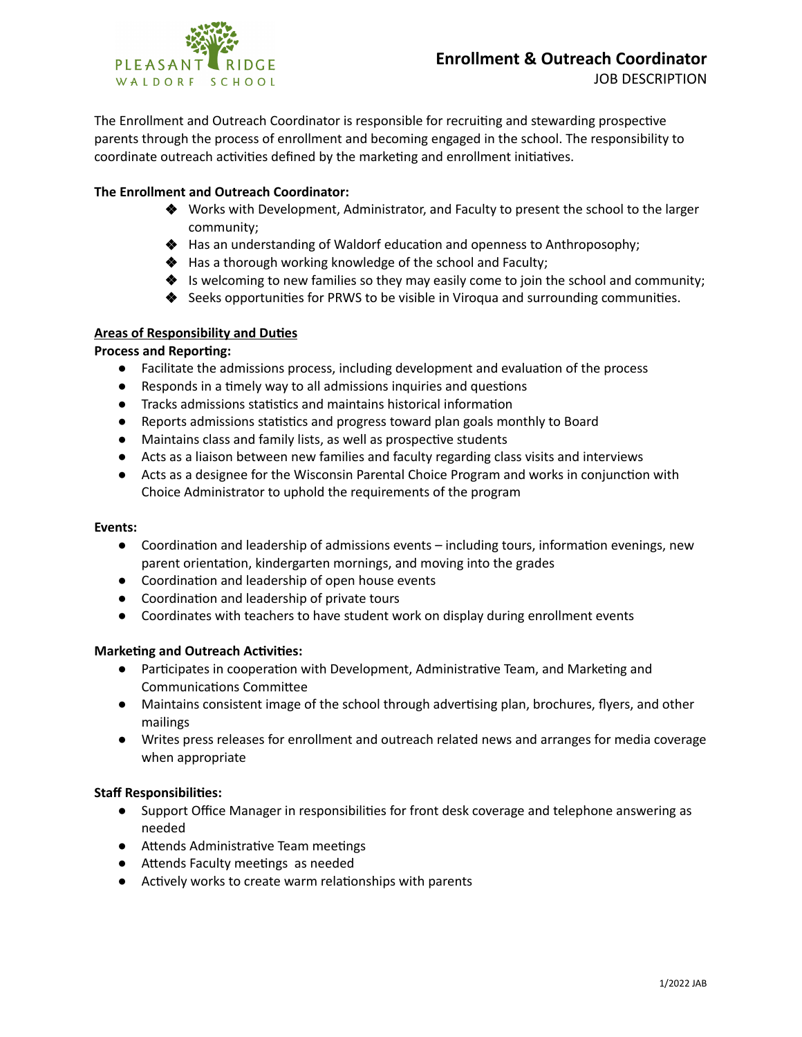

The Enrollment and Outreach Coordinator is responsible for recruiting and stewarding prospective parents through the process of enrollment and becoming engaged in the school. The responsibility to coordinate outreach activities defined by the marketing and enrollment initiatives.

# **The Enrollment and Outreach Coordinator:**

- ❖ Works with Development, Administrator, and Faculty to present the school to the larger community;
- ◆ Has an understanding of Waldorf education and openness to Anthroposophy;
- ❖ Has a thorough working knowledge of the school and Faculty;
- ❖ Is welcoming to new families so they may easily come to join the school and community;
- ◆ Seeks opportunities for PRWS to be visible in Viroqua and surrounding communities.

## **Areas of Responsibility and Duties**

## **Process and Reporting:**

- Facilitate the admissions process, including development and evaluation of the process
- Responds in a timely way to all admissions inquiries and questions
- Tracks admissions statistics and maintains historical information
- Reports admissions statistics and progress toward plan goals monthly to Board
- Maintains class and family lists, as well as prospective students
- Acts as a liaison between new families and faculty regarding class visits and interviews
- Acts as a designee for the Wisconsin Parental Choice Program and works in conjunction with Choice Administrator to uphold the requirements of the program

## **Events:**

- Coordination and leadership of admissions events including tours, information evenings, new parent orientation, kindergarten mornings, and moving into the grades
- Coordination and leadership of open house events
- **•** Coordination and leadership of private tours
- **●** Coordinates with teachers to have student work on display during enrollment events

## **Marketing and Outreach Activities:**

- Participates in cooperation with Development, Administrative Team, and Marketing and Communications Committee
- **•** Maintains consistent image of the school through advertising plan, brochures, flyers, and other mailings
- **●** Writes press releases for enrollment and outreach related news and arranges for media coverage when appropriate

## **Staff Responsibilies:**

- **•** Support Office Manager in responsibilities for front desk coverage and telephone answering as needed
- **•** Attends Administrative Team meetings
- **•** Attends Faculty meetings as needed
- Actively works to create warm relationships with parents